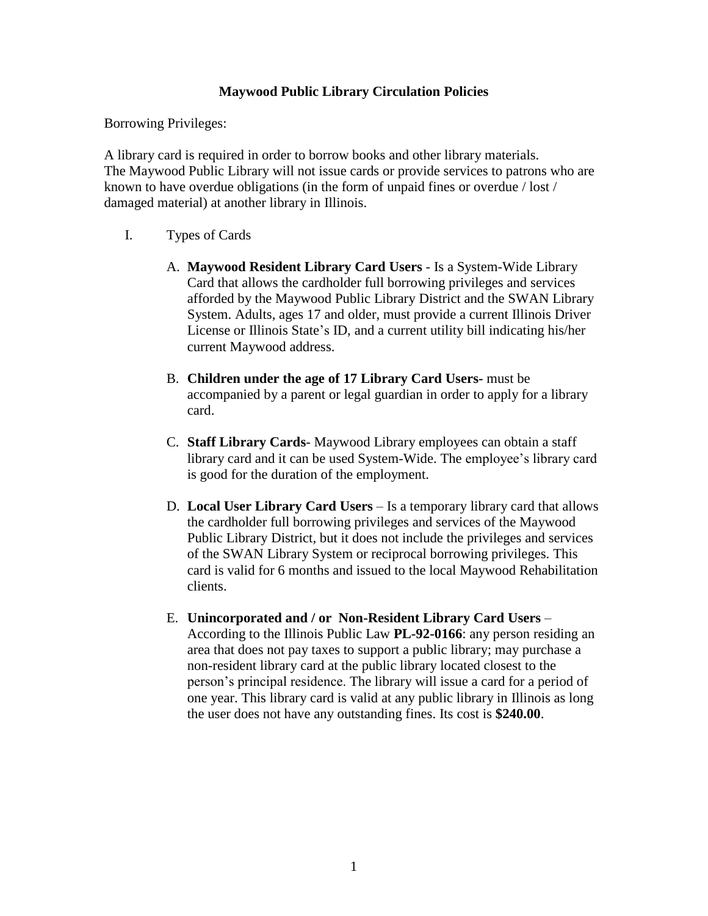## **Maywood Public Library Circulation Policies**

Borrowing Privileges:

A library card is required in order to borrow books and other library materials. The Maywood Public Library will not issue cards or provide services to patrons who are known to have overdue obligations (in the form of unpaid fines or overdue / lost / damaged material) at another library in Illinois.

## I. Types of Cards

- A. **Maywood Resident Library Card Users** Is a System-Wide Library Card that allows the cardholder full borrowing privileges and services afforded by the Maywood Public Library District and the SWAN Library System. Adults, ages 17 and older, must provide a current Illinois Driver License or Illinois State's ID, and a current utility bill indicating his/her current Maywood address.
- B. **Children under the age of 17 Library Card Users-** must be accompanied by a parent or legal guardian in order to apply for a library card.
- C. **Staff Library Cards** Maywood Library employees can obtain a staff library card and it can be used System-Wide. The employee's library card is good for the duration of the employment.
- D. **Local User Library Card Users** Is a temporary library card that allows the cardholder full borrowing privileges and services of the Maywood Public Library District, but it does not include the privileges and services of the SWAN Library System or reciprocal borrowing privileges. This card is valid for 6 months and issued to the local Maywood Rehabilitation clients.
- E. **Unincorporated and / or Non-Resident Library Card Users** According to the Illinois Public Law **PL-92-0166**: any person residing an area that does not pay taxes to support a public library; may purchase a non-resident library card at the public library located closest to the person's principal residence. The library will issue a card for a period of one year. This library card is valid at any public library in Illinois as long the user does not have any outstanding fines. Its cost is **\$240.00**.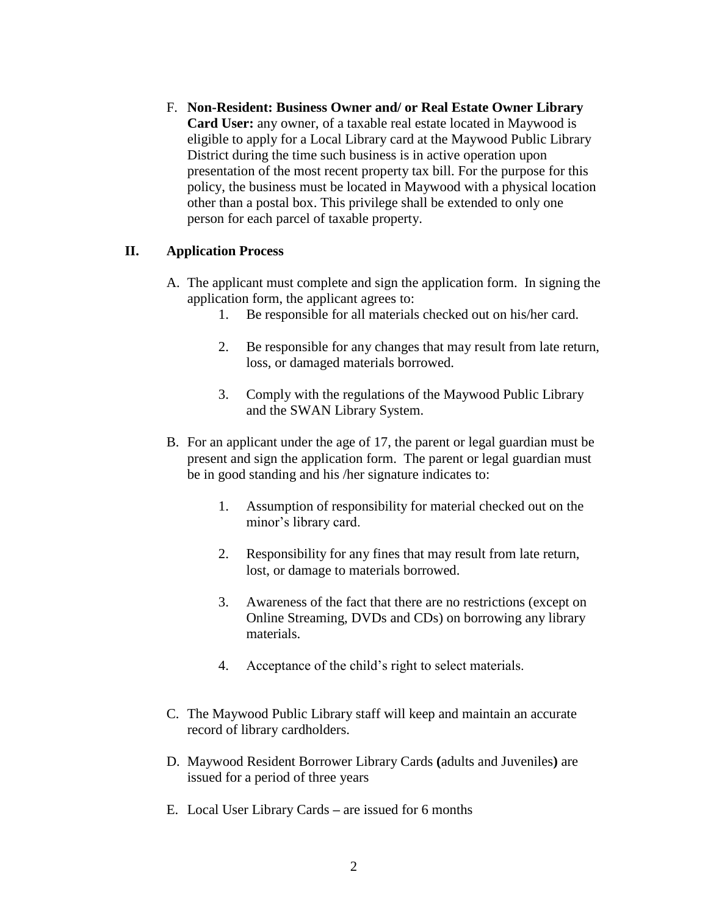F. **Non-Resident: Business Owner and/ or Real Estate Owner Library Card User:** any owner, of a taxable real estate located in Maywood is eligible to apply for a Local Library card at the Maywood Public Library District during the time such business is in active operation upon presentation of the most recent property tax bill. For the purpose for this policy, the business must be located in Maywood with a physical location other than a postal box. This privilege shall be extended to only one person for each parcel of taxable property.

## **II. Application Process**

- A. The applicant must complete and sign the application form. In signing the application form, the applicant agrees to:
	- 1. Be responsible for all materials checked out on his/her card.
	- 2. Be responsible for any changes that may result from late return, loss, or damaged materials borrowed.
	- 3. Comply with the regulations of the Maywood Public Library and the SWAN Library System.
- B. For an applicant under the age of 17, the parent or legal guardian must be present and sign the application form. The parent or legal guardian must be in good standing and his /her signature indicates to:
	- 1. Assumption of responsibility for material checked out on the minor's library card.
	- 2. Responsibility for any fines that may result from late return, lost, or damage to materials borrowed.
	- 3. Awareness of the fact that there are no restrictions (except on Online Streaming, DVDs and CDs) on borrowing any library materials.
	- 4. Acceptance of the child's right to select materials.
- C. The Maywood Public Library staff will keep and maintain an accurate record of library cardholders.
- D. Maywood Resident Borrower Library Cards **(**adults and Juveniles**)** are issued for a period of three years
- E. Local User Library Cards **–** are issued for 6 months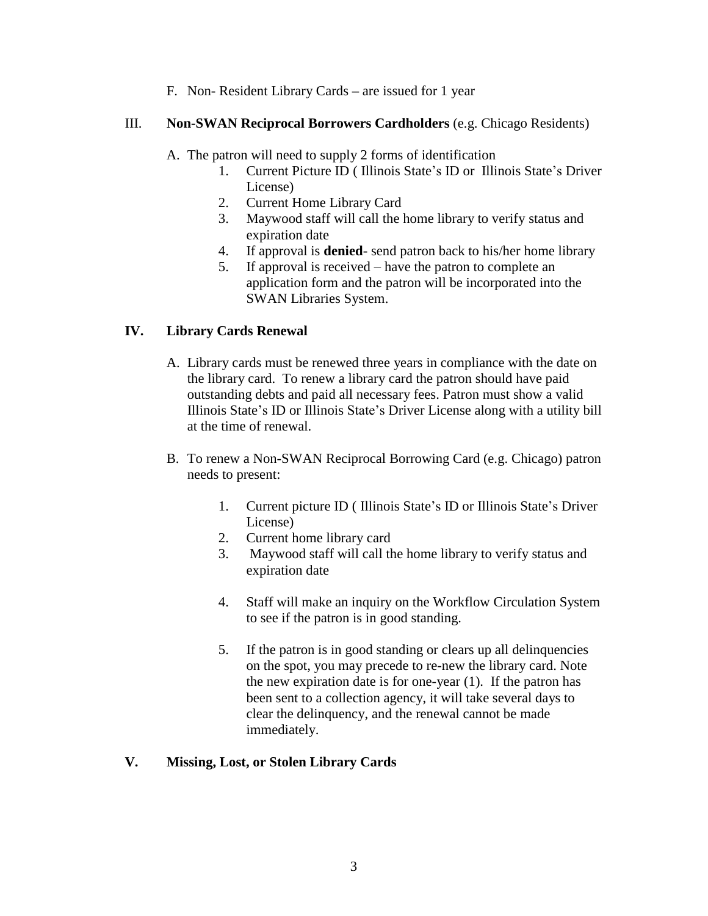F. Non- Resident Library Cards **–** are issued for 1 year

## III. **Non-SWAN Reciprocal Borrowers Cardholders** (e.g. Chicago Residents)

- A. The patron will need to supply 2 forms of identification
	- 1. Current Picture ID ( Illinois State's ID or Illinois State's Driver License)
	- 2. Current Home Library Card
	- 3. Maywood staff will call the home library to verify status and expiration date
	- 4. If approval is **denied** send patron back to his/her home library
	- 5. If approval is received have the patron to complete an application form and the patron will be incorporated into the SWAN Libraries System.

## **IV. Library Cards Renewal**

- A. Library cards must be renewed three years in compliance with the date on the library card. To renew a library card the patron should have paid outstanding debts and paid all necessary fees. Patron must show a valid Illinois State's ID or Illinois State's Driver License along with a utility bill at the time of renewal.
- B. To renew a Non-SWAN Reciprocal Borrowing Card (e.g. Chicago) patron needs to present:
	- 1. Current picture ID ( Illinois State's ID or Illinois State's Driver License)
	- 2. Current home library card
	- 3. Maywood staff will call the home library to verify status and expiration date
	- 4. Staff will make an inquiry on the Workflow Circulation System to see if the patron is in good standing.
	- 5. If the patron is in good standing or clears up all delinquencies on the spot, you may precede to re-new the library card. Note the new expiration date is for one-year (1). If the patron has been sent to a collection agency, it will take several days to clear the delinquency, and the renewal cannot be made immediately.

# **V. Missing, Lost, or Stolen Library Cards**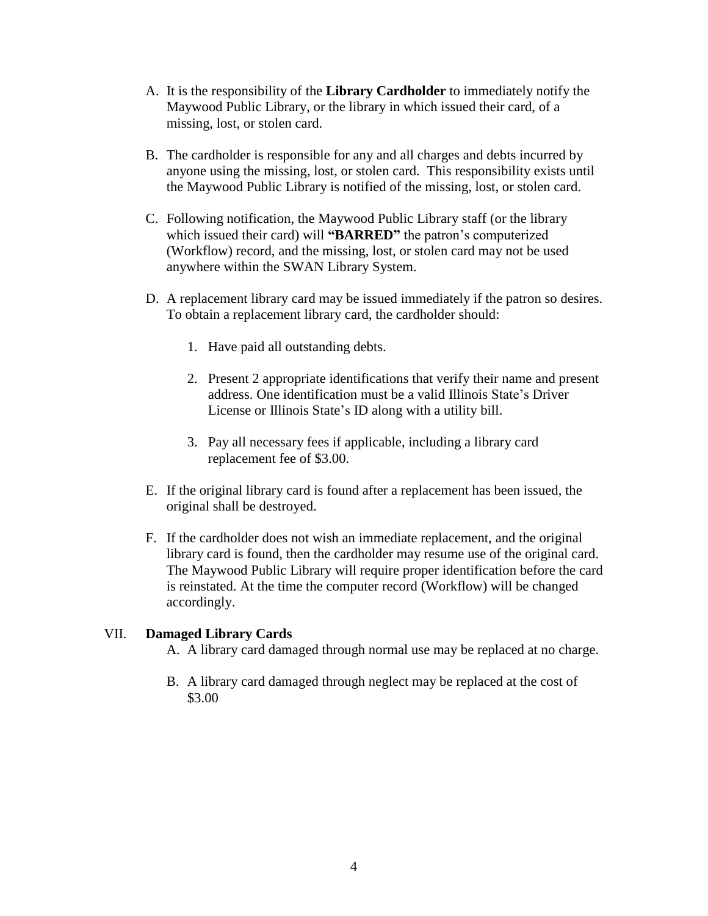- A. It is the responsibility of the **Library Cardholder** to immediately notify the Maywood Public Library, or the library in which issued their card, of a missing, lost, or stolen card.
- B. The cardholder is responsible for any and all charges and debts incurred by anyone using the missing, lost, or stolen card. This responsibility exists until the Maywood Public Library is notified of the missing, lost, or stolen card.
- C. Following notification, the Maywood Public Library staff (or the library which issued their card) will **"BARRED"** the patron's computerized (Workflow) record, and the missing, lost, or stolen card may not be used anywhere within the SWAN Library System.
- D. A replacement library card may be issued immediately if the patron so desires. To obtain a replacement library card, the cardholder should:
	- 1. Have paid all outstanding debts.
	- 2. Present 2 appropriate identifications that verify their name and present address. One identification must be a valid Illinois State's Driver License or Illinois State's ID along with a utility bill.
	- 3. Pay all necessary fees if applicable, including a library card replacement fee of \$3.00.
- E. If the original library card is found after a replacement has been issued, the original shall be destroyed.
- F. If the cardholder does not wish an immediate replacement, and the original library card is found, then the cardholder may resume use of the original card. The Maywood Public Library will require proper identification before the card is reinstated. At the time the computer record (Workflow) will be changed accordingly.

## VII. **Damaged Library Cards**

A. A library card damaged through normal use may be replaced at no charge.

B. A library card damaged through neglect may be replaced at the cost of \$3.00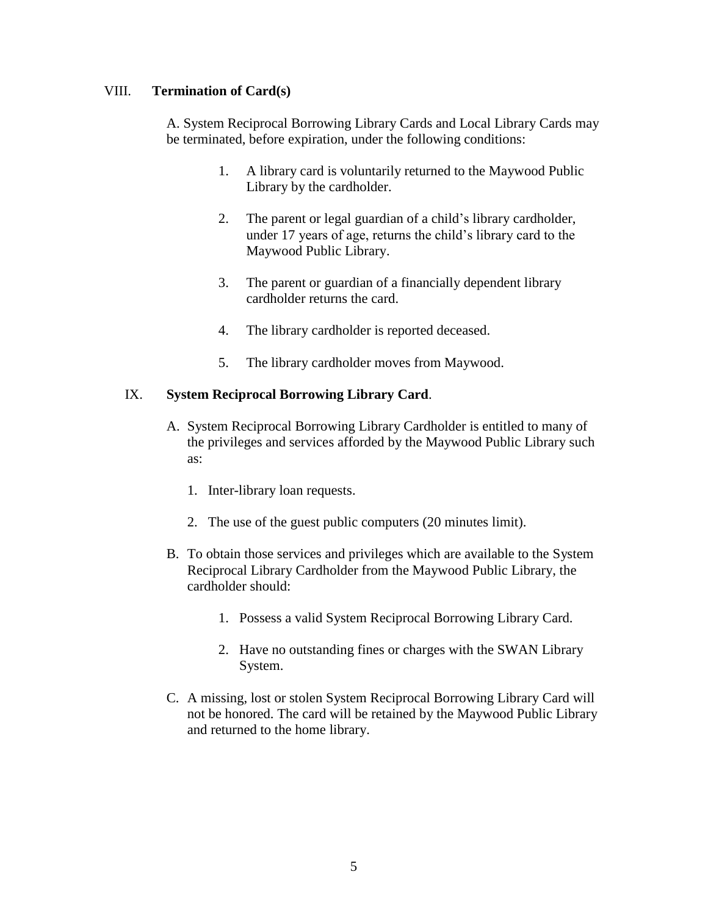## VIII. **Termination of Card(s)**

A. System Reciprocal Borrowing Library Cards and Local Library Cards may be terminated, before expiration, under the following conditions:

- 1. A library card is voluntarily returned to the Maywood Public Library by the cardholder.
- 2. The parent or legal guardian of a child's library cardholder, under 17 years of age, returns the child's library card to the Maywood Public Library.
- 3. The parent or guardian of a financially dependent library cardholder returns the card.
- 4. The library cardholder is reported deceased.
- 5. The library cardholder moves from Maywood.

## IX. **System Reciprocal Borrowing Library Card**.

- A. System Reciprocal Borrowing Library Cardholder is entitled to many of the privileges and services afforded by the Maywood Public Library such as:
	- 1. Inter-library loan requests.
	- 2. The use of the guest public computers (20 minutes limit).
- B. To obtain those services and privileges which are available to the System Reciprocal Library Cardholder from the Maywood Public Library, the cardholder should:
	- 1. Possess a valid System Reciprocal Borrowing Library Card.
	- 2. Have no outstanding fines or charges with the SWAN Library System.
- C. A missing, lost or stolen System Reciprocal Borrowing Library Card will not be honored. The card will be retained by the Maywood Public Library and returned to the home library.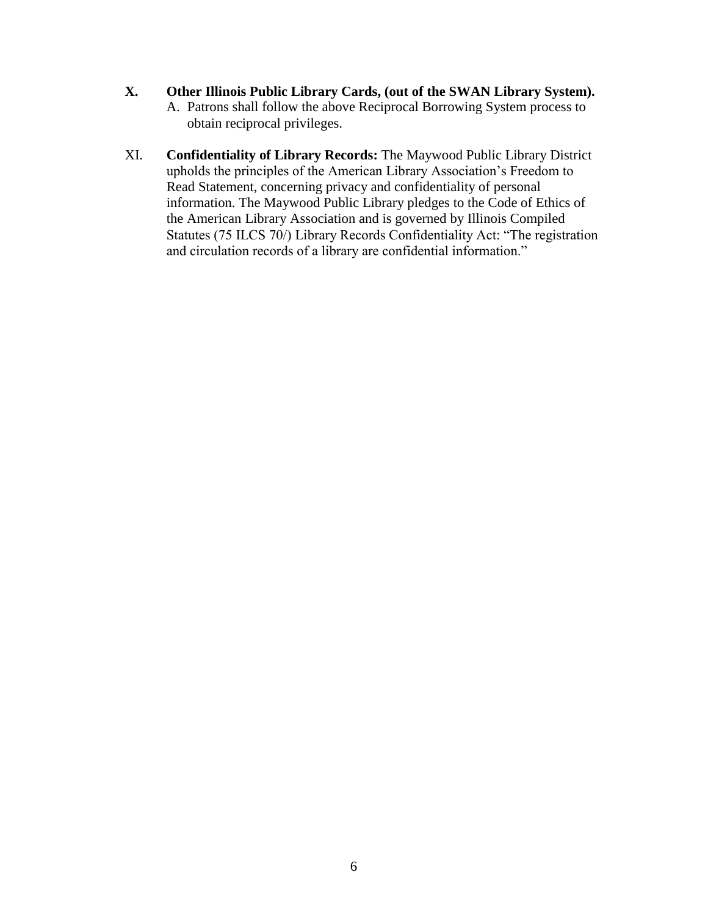## **X. Other Illinois Public Library Cards, (out of the SWAN Library System).**

- A. Patrons shall follow the above Reciprocal Borrowing System process to obtain reciprocal privileges.
- XI. **Confidentiality of Library Records:** The Maywood Public Library District upholds the principles of the American Library Association's Freedom to Read Statement, concerning privacy and confidentiality of personal information. The Maywood Public Library pledges to the Code of Ethics of the American Library Association and is governed by Illinois Compiled Statutes (75 ILCS 70/) Library Records Confidentiality Act: "The registration and circulation records of a library are confidential information."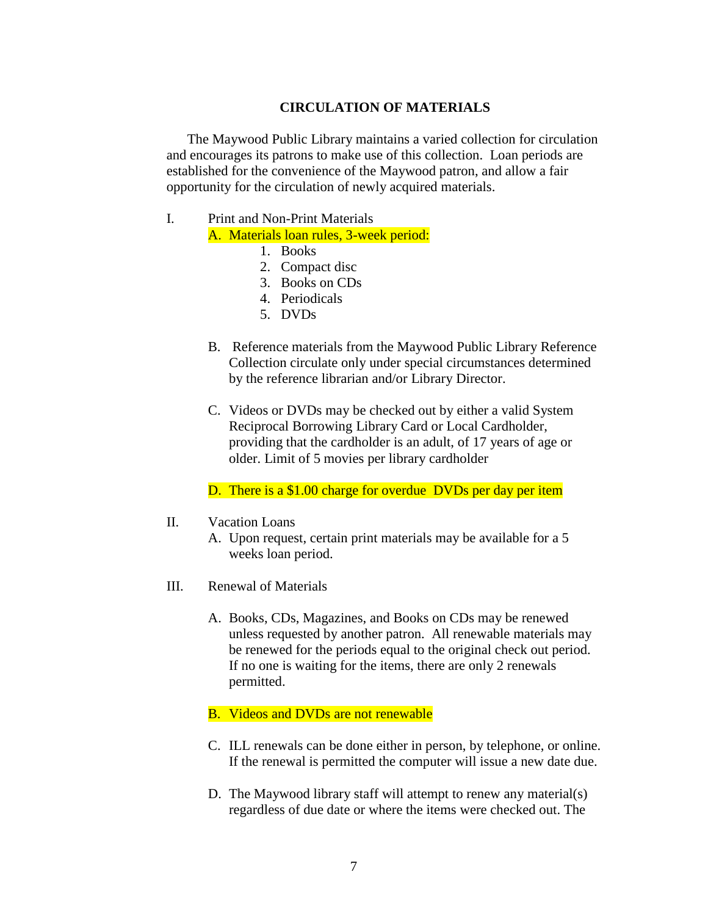#### **CIRCULATION OF MATERIALS**

The Maywood Public Library maintains a varied collection for circulation and encourages its patrons to make use of this collection. Loan periods are established for the convenience of the Maywood patron, and allow a fair opportunity for the circulation of newly acquired materials.

# I. Print and Non-Print Materials

A. Materials loan rules, 3-week period:

- 1. Books
- 2. Compact disc
- 3. Books on CDs
- 4. Periodicals
- 5. DVDs
- B. Reference materials from the Maywood Public Library Reference Collection circulate only under special circumstances determined by the reference librarian and/or Library Director.
- C. Videos or DVDs may be checked out by either a valid System Reciprocal Borrowing Library Card or Local Cardholder, providing that the cardholder is an adult, of 17 years of age or older. Limit of 5 movies per library cardholder

D. There is a \$1.00 charge for overdue DVDs per day per item

- II. Vacation Loans
	- A. Upon request, certain print materials may be available for a 5 weeks loan period.
- III. Renewal of Materials
	- A. Books, CDs, Magazines, and Books on CDs may be renewed unless requested by another patron. All renewable materials may be renewed for the periods equal to the original check out period. If no one is waiting for the items, there are only 2 renewals permitted.

#### B. Videos and DVDs are not renewable

- C. ILL renewals can be done either in person, by telephone, or online. If the renewal is permitted the computer will issue a new date due.
- D. The Maywood library staff will attempt to renew any material(s) regardless of due date or where the items were checked out. The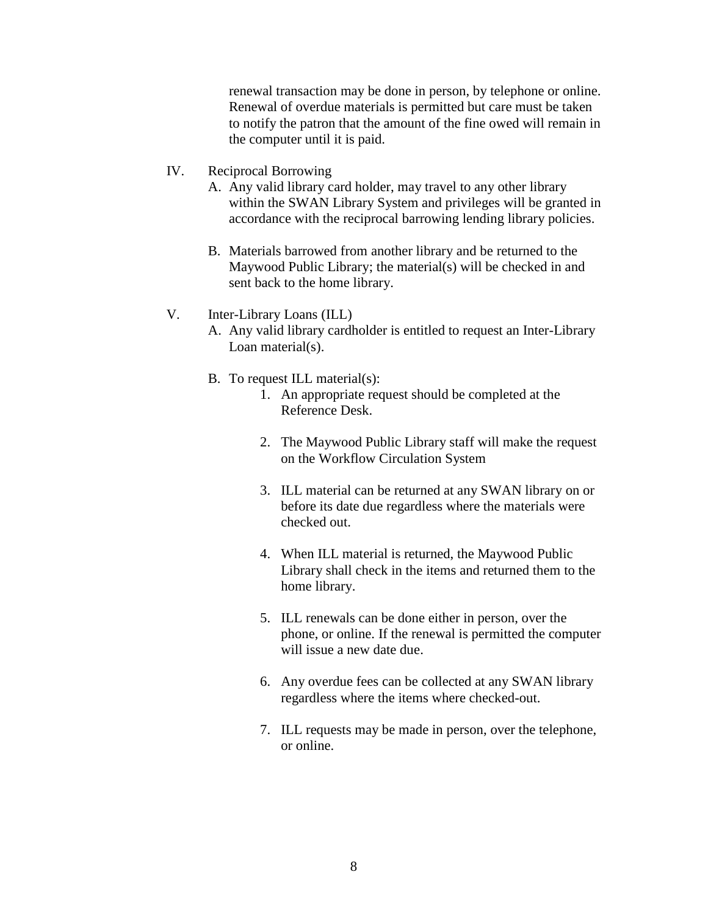renewal transaction may be done in person, by telephone or online. Renewal of overdue materials is permitted but care must be taken to notify the patron that the amount of the fine owed will remain in the computer until it is paid.

#### IV. Reciprocal Borrowing

- A. Any valid library card holder, may travel to any other library within the SWAN Library System and privileges will be granted in accordance with the reciprocal barrowing lending library policies.
- B. Materials barrowed from another library and be returned to the Maywood Public Library; the material(s) will be checked in and sent back to the home library.

#### V. Inter-Library Loans (ILL)

A. Any valid library cardholder is entitled to request an Inter-Library Loan material(s).

## B. To request ILL material(s):

- 1. An appropriate request should be completed at the Reference Desk.
- 2. The Maywood Public Library staff will make the request on the Workflow Circulation System
- 3. ILL material can be returned at any SWAN library on or before its date due regardless where the materials were checked out.
- 4. When ILL material is returned, the Maywood Public Library shall check in the items and returned them to the home library.
- 5. ILL renewals can be done either in person, over the phone, or online. If the renewal is permitted the computer will issue a new date due.
- 6. Any overdue fees can be collected at any SWAN library regardless where the items where checked-out.
- 7. ILL requests may be made in person, over the telephone, or online.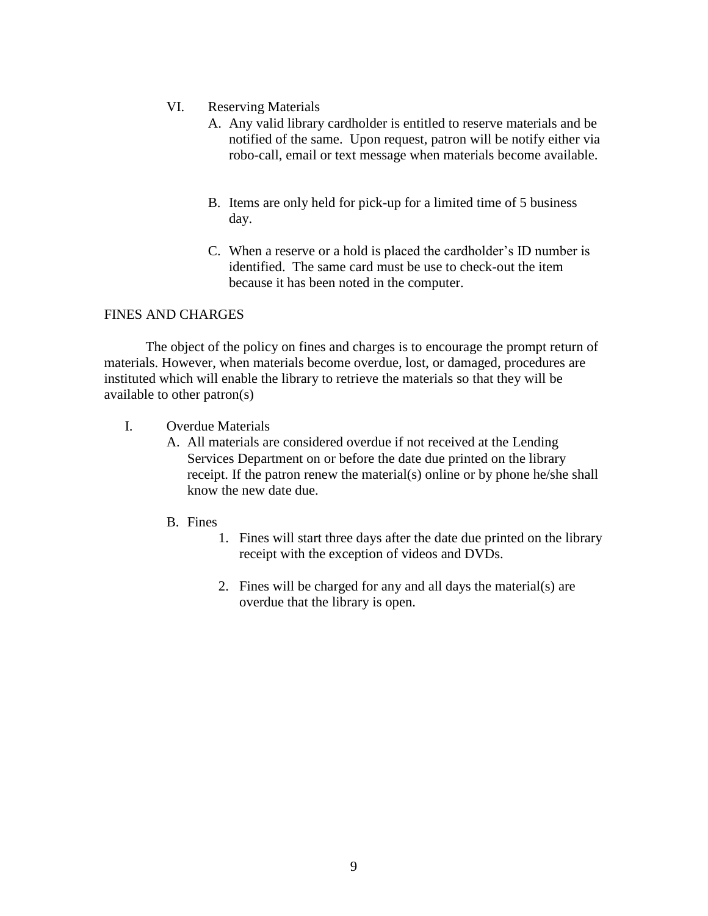- VI. Reserving Materials
	- A. Any valid library cardholder is entitled to reserve materials and be notified of the same. Upon request, patron will be notify either via robo-call, email or text message when materials become available.
	- B. Items are only held for pick-up for a limited time of 5 business day.
	- C. When a reserve or a hold is placed the cardholder's ID number is identified. The same card must be use to check-out the item because it has been noted in the computer.

# FINES AND CHARGES

The object of the policy on fines and charges is to encourage the prompt return of materials. However, when materials become overdue, lost, or damaged, procedures are instituted which will enable the library to retrieve the materials so that they will be available to other patron(s)

- I. Overdue Materials
	- A. All materials are considered overdue if not received at the Lending Services Department on or before the date due printed on the library receipt. If the patron renew the material(s) online or by phone he/she shall know the new date due.
	- B. Fines
		- 1. Fines will start three days after the date due printed on the library receipt with the exception of videos and DVDs.
		- 2. Fines will be charged for any and all days the material(s) are overdue that the library is open.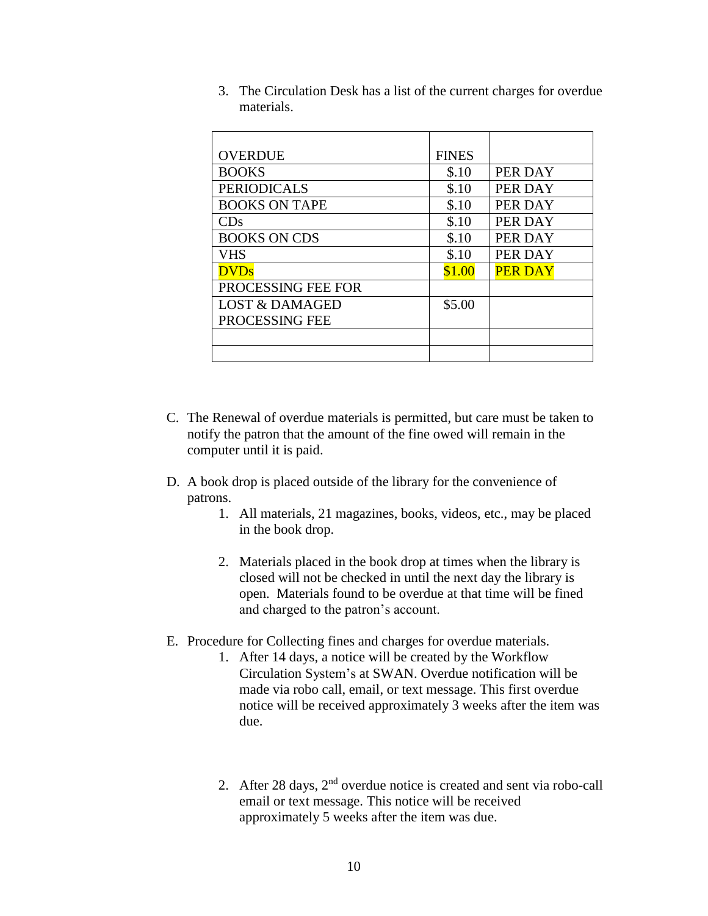| <b>OVERDUE</b>            | <b>FINES</b> |                |
|---------------------------|--------------|----------------|
| <b>BOOKS</b>              | \$.10        | PER DAY        |
| <b>PERIODICALS</b>        | \$.10        | PER DAY        |
| <b>BOOKS ON TAPE</b>      | \$.10        | PER DAY        |
| $\mathrm{CDs}$            | \$.10        | PER DAY        |
| <b>BOOKS ON CDS</b>       | \$.10        | PER DAY        |
| VHS                       | \$.10        | PER DAY        |
| <b>DVDs</b>               | \$1.00       | <b>PER DAY</b> |
| PROCESSING FEE FOR        |              |                |
| <b>LOST &amp; DAMAGED</b> | \$5.00       |                |
| PROCESSING FEE            |              |                |
|                           |              |                |
|                           |              |                |

3. The Circulation Desk has a list of the current charges for overdue materials.

- C. The Renewal of overdue materials is permitted, but care must be taken to notify the patron that the amount of the fine owed will remain in the computer until it is paid.
- D. A book drop is placed outside of the library for the convenience of patrons.
	- 1. All materials, 21 magazines, books, videos, etc., may be placed in the book drop.
	- 2. Materials placed in the book drop at times when the library is closed will not be checked in until the next day the library is open. Materials found to be overdue at that time will be fined and charged to the patron's account.
- E. Procedure for Collecting fines and charges for overdue materials.
	- 1. After 14 days, a notice will be created by the Workflow Circulation System's at SWAN. Overdue notification will be made via robo call, email, or text message. This first overdue notice will be received approximately 3 weeks after the item was due.
	- 2. After 28 days,  $2<sup>nd</sup>$  overdue notice is created and sent via robo-call email or text message. This notice will be received approximately 5 weeks after the item was due.